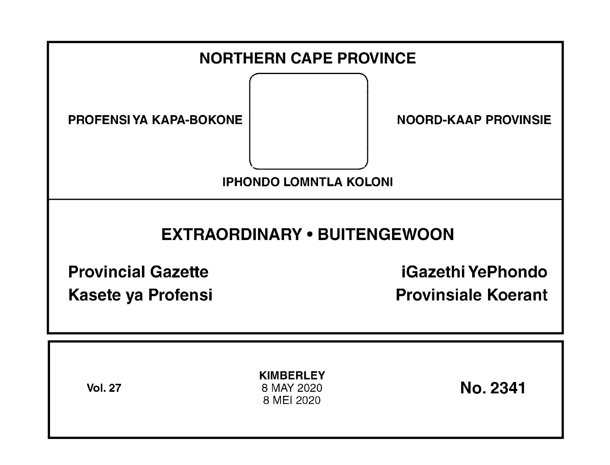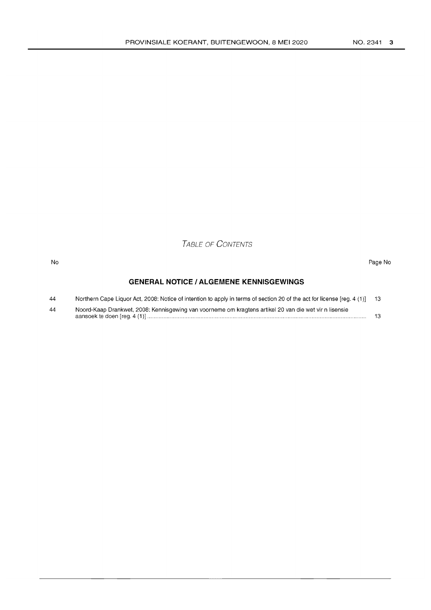TABLE OF CONTENTS

#### No Page No

### **GENERAL NOTICE I ALGEMENE KENNISGEWINGS**

| 44 | Northern Cape Liquor Act, 2008: Notice of intention to apply in terms of section 20 of the act for license [reg. 4 (1)] 13 |  |
|----|----------------------------------------------------------------------------------------------------------------------------|--|
| 44 | Noord-Kaap Drankwet, 2008: Kennisgewing van voorneme om kragtens artikel 20 van die wet vir n lisensie                     |  |